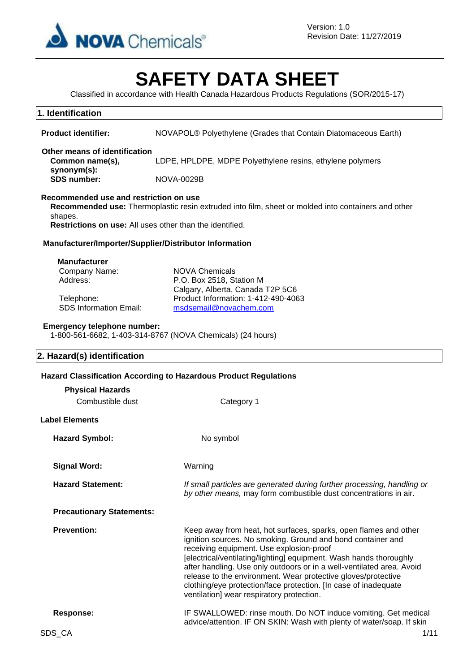

# **SAFETY DATA SHEET**

Classified in accordance with Health Canada Hazardous Products Regulations (SOR/2015-17)

| 1. Identification                                                                                                                     |                                                                                                                                                                                                                                                                                                                                                                                                                                                                                                             |  |
|---------------------------------------------------------------------------------------------------------------------------------------|-------------------------------------------------------------------------------------------------------------------------------------------------------------------------------------------------------------------------------------------------------------------------------------------------------------------------------------------------------------------------------------------------------------------------------------------------------------------------------------------------------------|--|
| <b>Product identifier:</b>                                                                                                            | NOVAPOL® Polyethylene (Grades that Contain Diatomaceous Earth)                                                                                                                                                                                                                                                                                                                                                                                                                                              |  |
| Other means of identification<br>Common name(s),<br>synonym(s):                                                                       | LDPE, HPLDPE, MDPE Polyethylene resins, ethylene polymers                                                                                                                                                                                                                                                                                                                                                                                                                                                   |  |
| <b>SDS number:</b>                                                                                                                    | <b>NOVA-0029B</b>                                                                                                                                                                                                                                                                                                                                                                                                                                                                                           |  |
| Recommended use and restriction on use<br>shapes.<br>Restrictions on use: All uses other than the identified.                         | Recommended use: Thermoplastic resin extruded into film, sheet or molded into containers and other                                                                                                                                                                                                                                                                                                                                                                                                          |  |
| Manufacturer/Importer/Supplier/Distributor Information                                                                                |                                                                                                                                                                                                                                                                                                                                                                                                                                                                                                             |  |
| <b>Manufacturer</b><br>Company Name:<br>Address:<br>Telephone:<br><b>SDS Information Email:</b><br><b>Emergency telephone number:</b> | <b>NOVA Chemicals</b><br>P.O. Box 2518, Station M<br>Calgary, Alberta, Canada T2P 5C6<br>Product Information: 1-412-490-4063<br>msdsemail@novachem.com                                                                                                                                                                                                                                                                                                                                                      |  |
|                                                                                                                                       | 1-800-561-6682, 1-403-314-8767 (NOVA Chemicals) (24 hours)                                                                                                                                                                                                                                                                                                                                                                                                                                                  |  |
| 2. Hazard(s) identification                                                                                                           |                                                                                                                                                                                                                                                                                                                                                                                                                                                                                                             |  |
|                                                                                                                                       | <b>Hazard Classification According to Hazardous Product Regulations</b>                                                                                                                                                                                                                                                                                                                                                                                                                                     |  |
| <b>Physical Hazards</b>                                                                                                               |                                                                                                                                                                                                                                                                                                                                                                                                                                                                                                             |  |
| Combustible dust                                                                                                                      | Category 1                                                                                                                                                                                                                                                                                                                                                                                                                                                                                                  |  |
| <b>Label Elements</b>                                                                                                                 |                                                                                                                                                                                                                                                                                                                                                                                                                                                                                                             |  |
| <b>Hazard Symbol:</b>                                                                                                                 | No symbol                                                                                                                                                                                                                                                                                                                                                                                                                                                                                                   |  |
| <b>Signal Word:</b>                                                                                                                   | Warning                                                                                                                                                                                                                                                                                                                                                                                                                                                                                                     |  |
| <b>Hazard Statement:</b>                                                                                                              | If small particles are generated during further processing, handling or<br>by other means, may form combustible dust concentrations in air.                                                                                                                                                                                                                                                                                                                                                                 |  |
| <b>Precautionary Statements:</b>                                                                                                      |                                                                                                                                                                                                                                                                                                                                                                                                                                                                                                             |  |
| <b>Prevention:</b>                                                                                                                    | Keep away from heat, hot surfaces, sparks, open flames and other<br>ignition sources. No smoking. Ground and bond container and<br>receiving equipment. Use explosion-proof<br>[electrical/ventilating/lighting] equipment. Wash hands thoroughly<br>after handling. Use only outdoors or in a well-ventilated area. Avoid<br>release to the environment. Wear protective gloves/protective<br>clothing/eye protection/face protection. [In case of inadequate<br>ventilation] wear respiratory protection. |  |
| <b>Response:</b>                                                                                                                      | IF SWALLOWED: rinse mouth. Do NOT induce vomiting. Get medical                                                                                                                                                                                                                                                                                                                                                                                                                                              |  |

advice/attention. IF ON SKIN: Wash with plenty of water/soap. If skin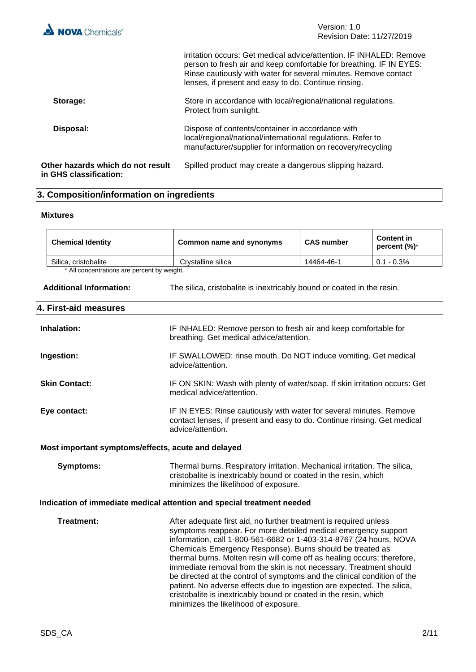| <b>NOVA</b> Chemicals®                                      | Version: 1.0<br>Revision Date: 11/27/2019                                                                                                                                                                                                                             |
|-------------------------------------------------------------|-----------------------------------------------------------------------------------------------------------------------------------------------------------------------------------------------------------------------------------------------------------------------|
|                                                             | irritation occurs: Get medical advice/attention. IF INHALED: Remove<br>person to fresh air and keep comfortable for breathing. IF IN EYES:<br>Rinse cautiously with water for several minutes. Remove contact<br>lenses, if present and easy to do. Continue rinsing. |
| Storage:                                                    | Store in accordance with local/regional/national regulations.<br>Protect from sunlight.                                                                                                                                                                               |
| Disposal:                                                   | Dispose of contents/container in accordance with<br>local/regional/national/international regulations. Refer to<br>manufacturer/supplier for information on recovery/recycling                                                                                        |
| Other hazards which do not result<br>in GHS classification: | Spilled product may create a dangerous slipping hazard.                                                                                                                                                                                                               |

# **3. Composition/information on ingredients**

### **Mixtures**

| <b>Chemical Identity</b>                      | Common name and synonyms | <b>CAS number</b> | <b>Content in</b><br>percent $(\%)^*$ |
|-----------------------------------------------|--------------------------|-------------------|---------------------------------------|
| Silica, cristobalite                          | Crvstalline silica       | 14464-46-1        | $0.1 - 0.3\%$                         |
| $*$ All concentrations are persont buy usight |                          |                   |                                       |

All concentrations are percent by weight.

| <b>Additional Information:</b>                     | The silica, cristobalite is inextricably bound or coated in the resin.                                                                                                                                                                                                                                                                                                                                                                                                                                                                                                                                                                                                                     |
|----------------------------------------------------|--------------------------------------------------------------------------------------------------------------------------------------------------------------------------------------------------------------------------------------------------------------------------------------------------------------------------------------------------------------------------------------------------------------------------------------------------------------------------------------------------------------------------------------------------------------------------------------------------------------------------------------------------------------------------------------------|
| 4. First-aid measures                              |                                                                                                                                                                                                                                                                                                                                                                                                                                                                                                                                                                                                                                                                                            |
| Inhalation:                                        | IF INHALED: Remove person to fresh air and keep comfortable for<br>breathing. Get medical advice/attention.                                                                                                                                                                                                                                                                                                                                                                                                                                                                                                                                                                                |
| Ingestion:                                         | IF SWALLOWED: rinse mouth. Do NOT induce vomiting. Get medical<br>advice/attention.                                                                                                                                                                                                                                                                                                                                                                                                                                                                                                                                                                                                        |
| <b>Skin Contact:</b>                               | IF ON SKIN: Wash with plenty of water/soap. If skin irritation occurs: Get<br>medical advice/attention.                                                                                                                                                                                                                                                                                                                                                                                                                                                                                                                                                                                    |
| Eye contact:                                       | IF IN EYES: Rinse cautiously with water for several minutes. Remove<br>contact lenses, if present and easy to do. Continue rinsing. Get medical<br>advice/attention.                                                                                                                                                                                                                                                                                                                                                                                                                                                                                                                       |
| Most important symptoms/effects, acute and delayed |                                                                                                                                                                                                                                                                                                                                                                                                                                                                                                                                                                                                                                                                                            |
| <b>Symptoms:</b>                                   | Thermal burns. Respiratory irritation. Mechanical irritation. The silica,<br>cristobalite is inextricably bound or coated in the resin, which<br>minimizes the likelihood of exposure.                                                                                                                                                                                                                                                                                                                                                                                                                                                                                                     |
|                                                    | Indication of immediate medical attention and special treatment needed                                                                                                                                                                                                                                                                                                                                                                                                                                                                                                                                                                                                                     |
| Treatment:                                         | After adequate first aid, no further treatment is required unless<br>symptoms reappear. For more detailed medical emergency support<br>information, call 1-800-561-6682 or 1-403-314-8767 (24 hours, NOVA<br>Chemicals Emergency Response). Burns should be treated as<br>thermal burns. Molten resin will come off as healing occurs; therefore,<br>immediate removal from the skin is not necessary. Treatment should<br>be directed at the control of symptoms and the clinical condition of the<br>patient. No adverse effects due to ingestion are expected. The silica,<br>cristobalite is inextricably bound or coated in the resin, which<br>minimizes the likelihood of exposure. |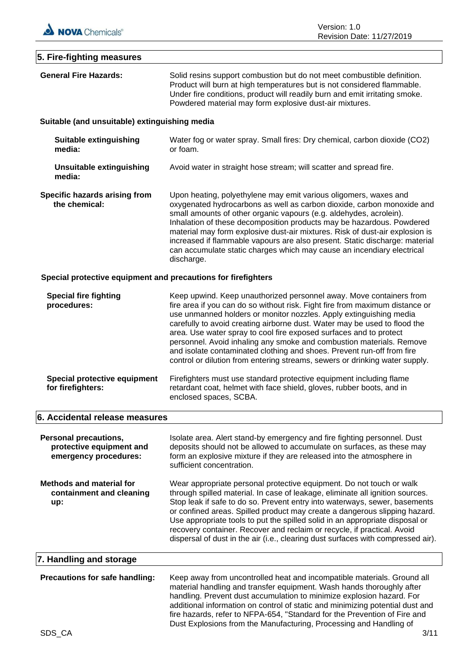

# **5. Fire-fighting measures**

| <b>General Fire Hazards:</b>                                                      | Solid resins support combustion but do not meet combustible definition.<br>Product will burn at high temperatures but is not considered flammable.<br>Under fire conditions, product will readily burn and emit irritating smoke.<br>Powdered material may form explosive dust-air mixtures.                                                                                                                                                                                                                                                                                                                  |  |
|-----------------------------------------------------------------------------------|---------------------------------------------------------------------------------------------------------------------------------------------------------------------------------------------------------------------------------------------------------------------------------------------------------------------------------------------------------------------------------------------------------------------------------------------------------------------------------------------------------------------------------------------------------------------------------------------------------------|--|
| Suitable (and unsuitable) extinguishing media                                     |                                                                                                                                                                                                                                                                                                                                                                                                                                                                                                                                                                                                               |  |
| Suitable extinguishing<br>media:                                                  | Water fog or water spray. Small fires: Dry chemical, carbon dioxide (CO2)<br>or foam.                                                                                                                                                                                                                                                                                                                                                                                                                                                                                                                         |  |
| <b>Unsuitable extinguishing</b><br>media:                                         | Avoid water in straight hose stream; will scatter and spread fire.                                                                                                                                                                                                                                                                                                                                                                                                                                                                                                                                            |  |
| Specific hazards arising from<br>the chemical:                                    | Upon heating, polyethylene may emit various oligomers, waxes and<br>oxygenated hydrocarbons as well as carbon dioxide, carbon monoxide and<br>small amounts of other organic vapours (e.g. aldehydes, acrolein).<br>Inhalation of these decomposition products may be hazardous. Powdered<br>material may form explosive dust-air mixtures. Risk of dust-air explosion is<br>increased if flammable vapours are also present. Static discharge: material<br>can accumulate static charges which may cause an incendiary electrical<br>discharge.                                                              |  |
| Special protective equipment and precautions for firefighters                     |                                                                                                                                                                                                                                                                                                                                                                                                                                                                                                                                                                                                               |  |
| <b>Special fire fighting</b><br>procedures:                                       | Keep upwind. Keep unauthorized personnel away. Move containers from<br>fire area if you can do so without risk. Fight fire from maximum distance or<br>use unmanned holders or monitor nozzles. Apply extinguishing media<br>carefully to avoid creating airborne dust. Water may be used to flood the<br>area. Use water spray to cool fire exposed surfaces and to protect<br>personnel. Avoid inhaling any smoke and combustion materials. Remove<br>and isolate contaminated clothing and shoes. Prevent run-off from fire<br>control or dilution from entering streams, sewers or drinking water supply. |  |
| Special protective equipment<br>for firefighters:                                 | Firefighters must use standard protective equipment including flame<br>retardant coat, helmet with face shield, gloves, rubber boots, and in<br>enclosed spaces, SCBA.                                                                                                                                                                                                                                                                                                                                                                                                                                        |  |
| 6. Accidental release measures                                                    |                                                                                                                                                                                                                                                                                                                                                                                                                                                                                                                                                                                                               |  |
| <b>Personal precautions,</b><br>protective equipment and<br>emergency procedures: | Isolate area. Alert stand-by emergency and fire fighting personnel. Dust<br>deposits should not be allowed to accumulate on surfaces, as these may<br>form an explosive mixture if they are released into the atmosphere in<br>sufficient concentration.                                                                                                                                                                                                                                                                                                                                                      |  |
| <b>Methods and material for</b><br>containment and cleaning<br>up:                | Wear appropriate personal protective equipment. Do not touch or walk<br>through spilled material. In case of leakage, eliminate all ignition sources.<br>Stop leak if safe to do so. Prevent entry into waterways, sewer, basements<br>or confined areas. Spilled product may create a dangerous slipping hazard.<br>Use appropriate tools to put the spilled solid in an appropriate disposal or<br>recovery container. Recover and reclaim or recycle, if practical. Avoid<br>dispersal of dust in the air (i.e., clearing dust surfaces with compressed air).                                              |  |
| 7. Handling and storage                                                           |                                                                                                                                                                                                                                                                                                                                                                                                                                                                                                                                                                                                               |  |
| Precautions for safe handling:                                                    | Keep away from uncontrolled heat and incompatible materials. Ground all<br>material handling and transfer equipment. Wash hands thoroughly after<br>handling. Prevent dust accumulation to minimize explosion hazard. For<br>additional information on control of static and minimizing potential dust and<br>fire hazards, refer to NFPA-654, "Standard for the Prevention of Fire and<br>Dust Explosions from the Manufacturing, Processing and Handling of                                                                                                                                                 |  |
| SDS_CA                                                                            | 3/11                                                                                                                                                                                                                                                                                                                                                                                                                                                                                                                                                                                                          |  |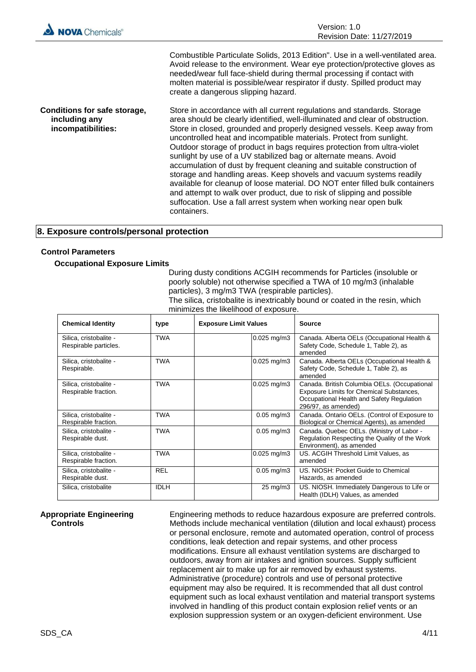| <b>NOVA</b> Chemicals®                                              | Version: 1.0<br>Revision Date: 11/27/2019                                                                                                                                                                                                                                                                                                                                                                                                                                                                                                                                                                                                                                                                                                                                                                                                                  |
|---------------------------------------------------------------------|------------------------------------------------------------------------------------------------------------------------------------------------------------------------------------------------------------------------------------------------------------------------------------------------------------------------------------------------------------------------------------------------------------------------------------------------------------------------------------------------------------------------------------------------------------------------------------------------------------------------------------------------------------------------------------------------------------------------------------------------------------------------------------------------------------------------------------------------------------|
|                                                                     | Combustible Particulate Solids, 2013 Edition". Use in a well-ventilated area.<br>Avoid release to the environment. Wear eye protection/protective gloves as<br>needed/wear full face-shield during thermal processing if contact with<br>molten material is possible/wear respirator if dusty. Spilled product may<br>create a dangerous slipping hazard.                                                                                                                                                                                                                                                                                                                                                                                                                                                                                                  |
| Conditions for safe storage,<br>including any<br>incompatibilities: | Store in accordance with all current regulations and standards. Storage<br>area should be clearly identified, well-illuminated and clear of obstruction.<br>Store in closed, grounded and properly designed vessels. Keep away from<br>uncontrolled heat and incompatible materials. Protect from sunlight.<br>Outdoor storage of product in bags requires protection from ultra-violet<br>sunlight by use of a UV stabilized bag or alternate means. Avoid<br>accumulation of dust by frequent cleaning and suitable construction of<br>storage and handling areas. Keep shovels and vacuum systems readily<br>available for cleanup of loose material. DO NOT enter filled bulk containers<br>and attempt to walk over product, due to risk of slipping and possible<br>suffocation. Use a fall arrest system when working near open bulk<br>containers. |

### **8. Exposure controls/personal protection**

### **Control Parameters**

**Occupational Exposure Limits**

During dusty conditions ACGIH recommends for Particles (insoluble or poorly soluble) not otherwise specified a TWA of 10 mg/m3 (inhalable particles), 3 mg/m3 TWA (respirable particles). The silica, cristobalite is inextricably bound or coated in the resin, which

| minimizes the likelihood of exposure.           |             |                              |                  |                                                                                                                                                              |
|-------------------------------------------------|-------------|------------------------------|------------------|--------------------------------------------------------------------------------------------------------------------------------------------------------------|
| <b>Chemical Identity</b>                        | type        | <b>Exposure Limit Values</b> |                  | <b>Source</b>                                                                                                                                                |
| Silica, cristobalite -<br>Respirable particles. | <b>TWA</b>  |                              | $0.025$ mg/m $3$ | Canada. Alberta OELs (Occupational Health &<br>Safety Code, Schedule 1, Table 2), as<br>amended                                                              |
| Silica, cristobalite -<br>Respirable.           | <b>TWA</b>  |                              | 0.025 mg/m3      | Canada. Alberta OELs (Occupational Health &<br>Safety Code, Schedule 1, Table 2), as<br>amended                                                              |
| Silica, cristobalite -<br>Respirable fraction.  | <b>TWA</b>  |                              | $0.025$ mg/m $3$ | Canada. British Columbia OELs. (Occupational<br>Exposure Limits for Chemical Substances,<br>Occupational Health and Safety Regulation<br>296/97, as amended) |
| Silica, cristobalite -<br>Respirable fraction.  | <b>TWA</b>  |                              | $0.05$ mg/m $3$  | Canada. Ontario OELs. (Control of Exposure to<br>Biological or Chemical Agents), as amended                                                                  |
| Silica, cristobalite -<br>Respirable dust.      | <b>TWA</b>  |                              | $0.05$ mg/m $3$  | Canada. Quebec OELs. (Ministry of Labor -<br>Regulation Respecting the Quality of the Work<br>Environment), as amended                                       |
| Silica, cristobalite -<br>Respirable fraction.  | <b>TWA</b>  |                              | $0.025$ mg/m $3$ | US. ACGIH Threshold Limit Values, as<br>amended                                                                                                              |
| Silica, cristobalite -<br>Respirable dust.      | <b>REL</b>  |                              | $0.05$ mg/m $3$  | US. NIOSH: Pocket Guide to Chemical<br>Hazards, as amended                                                                                                   |
| Silica, cristobalite                            | <b>IDLH</b> |                              | 25 mg/m3         | US. NIOSH. Immediately Dangerous to Life or<br>Health (IDLH) Values, as amended                                                                              |

### **Appropriate Engineering Controls**

Engineering methods to reduce hazardous exposure are preferred controls. Methods include mechanical ventilation (dilution and local exhaust) process or personal enclosure, remote and automated operation, control of process conditions, leak detection and repair systems, and other process modifications. Ensure all exhaust ventilation systems are discharged to outdoors, away from air intakes and ignition sources. Supply sufficient replacement air to make up for air removed by exhaust systems. Administrative (procedure) controls and use of personal protective equipment may also be required. It is recommended that all dust control equipment such as local exhaust ventilation and material transport systems involved in handling of this product contain explosion relief vents or an explosion suppression system or an oxygen-deficient environment. Use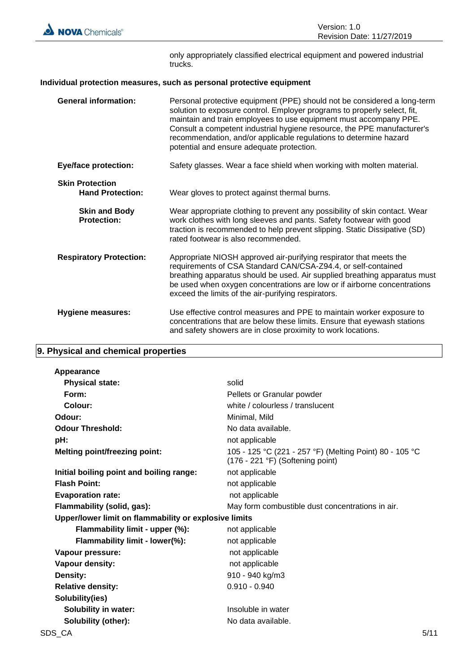

only appropriately classified electrical equipment and powered industrial trucks.

### **Individual protection measures, such as personal protective equipment**

| <b>General information:</b>                       | Personal protective equipment (PPE) should not be considered a long-term<br>solution to exposure control. Employer programs to properly select, fit,<br>maintain and train employees to use equipment must accompany PPE.<br>Consult a competent industrial hygiene resource, the PPE manufacturer's<br>recommendation, and/or applicable regulations to determine hazard<br>potential and ensure adequate protection. |
|---------------------------------------------------|------------------------------------------------------------------------------------------------------------------------------------------------------------------------------------------------------------------------------------------------------------------------------------------------------------------------------------------------------------------------------------------------------------------------|
| <b>Eye/face protection:</b>                       | Safety glasses. Wear a face shield when working with molten material.                                                                                                                                                                                                                                                                                                                                                  |
| <b>Skin Protection</b><br><b>Hand Protection:</b> | Wear gloves to protect against thermal burns.                                                                                                                                                                                                                                                                                                                                                                          |
| <b>Skin and Body</b><br><b>Protection:</b>        | Wear appropriate clothing to prevent any possibility of skin contact. Wear<br>work clothes with long sleeves and pants. Safety footwear with good<br>traction is recommended to help prevent slipping. Static Dissipative (SD)<br>rated footwear is also recommended.                                                                                                                                                  |
| <b>Respiratory Protection:</b>                    | Appropriate NIOSH approved air-purifying respirator that meets the<br>requirements of CSA Standard CAN/CSA-Z94.4, or self-contained<br>breathing apparatus should be used. Air supplied breathing apparatus must<br>be used when oxygen concentrations are low or if airborne concentrations<br>exceed the limits of the air-purifying respirators.                                                                    |
| Hygiene measures:                                 | Use effective control measures and PPE to maintain worker exposure to<br>concentrations that are below these limits. Ensure that eyewash stations<br>and safety showers are in close proximity to work locations.                                                                                                                                                                                                      |

## **9. Physical and chemical properties**

| Appearance                                            |                                                                                                      |      |
|-------------------------------------------------------|------------------------------------------------------------------------------------------------------|------|
| <b>Physical state:</b>                                | solid                                                                                                |      |
| Form:                                                 | Pellets or Granular powder                                                                           |      |
| Colour:                                               | white / colourless / translucent                                                                     |      |
| Odour:                                                | Minimal, Mild                                                                                        |      |
| <b>Odour Threshold:</b>                               | No data available.                                                                                   |      |
| pH:                                                   | not applicable                                                                                       |      |
| <b>Melting point/freezing point:</b>                  | 105 - 125 °C (221 - 257 °F) (Melting Point) 80 - 105 °C<br>$(176 - 221 \degree F)$ (Softening point) |      |
| Initial boiling point and boiling range:              | not applicable                                                                                       |      |
| <b>Flash Point:</b>                                   | not applicable                                                                                       |      |
| <b>Evaporation rate:</b>                              | not applicable                                                                                       |      |
| Flammability (solid, gas):                            | May form combustible dust concentrations in air.                                                     |      |
| Upper/lower limit on flammability or explosive limits |                                                                                                      |      |
| Flammability limit - upper (%):                       | not applicable                                                                                       |      |
| Flammability limit - lower(%):                        | not applicable                                                                                       |      |
| Vapour pressure:                                      | not applicable                                                                                       |      |
| Vapour density:                                       | not applicable                                                                                       |      |
| Density:                                              | 910 - 940 kg/m3                                                                                      |      |
| <b>Relative density:</b>                              | $0.910 - 0.940$                                                                                      |      |
| Solubility(ies)                                       |                                                                                                      |      |
| <b>Solubility in water:</b>                           | Insoluble in water                                                                                   |      |
| <b>Solubility (other):</b>                            | No data available.                                                                                   |      |
| SDS CA                                                |                                                                                                      | 5/11 |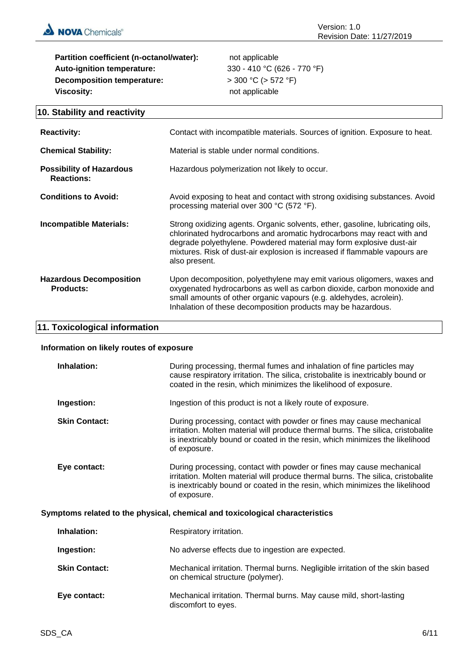NOVA Chemicals®

| Partition coefficient (n-octanol/water): | not applicable              |
|------------------------------------------|-----------------------------|
| Auto-ignition temperature:               | 330 - 410 °C (626 - 770 °F) |
| <b>Decomposition temperature:</b>        | $>$ 300 °C ( $>$ 572 °F)    |
| Viscosity:                               | not applicable              |

# **10. Stability and reactivity**

| <b>Reactivity:</b>                                   | Contact with incompatible materials. Sources of ignition. Exposure to heat.                                                                                                                                                                                                                                                  |
|------------------------------------------------------|------------------------------------------------------------------------------------------------------------------------------------------------------------------------------------------------------------------------------------------------------------------------------------------------------------------------------|
| <b>Chemical Stability:</b>                           | Material is stable under normal conditions.                                                                                                                                                                                                                                                                                  |
| <b>Possibility of Hazardous</b><br><b>Reactions:</b> | Hazardous polymerization not likely to occur.                                                                                                                                                                                                                                                                                |
| <b>Conditions to Avoid:</b>                          | Avoid exposing to heat and contact with strong oxidising substances. Avoid<br>processing material over 300 °C (572 °F).                                                                                                                                                                                                      |
| <b>Incompatible Materials:</b>                       | Strong oxidizing agents. Organic solvents, ether, gasoline, lubricating oils,<br>chlorinated hydrocarbons and aromatic hydrocarbons may react with and<br>degrade polyethylene. Powdered material may form explosive dust-air<br>mixtures. Risk of dust-air explosion is increased if flammable vapours are<br>also present. |
| <b>Hazardous Decomposition</b><br><b>Products:</b>   | Upon decomposition, polyethylene may emit various oligomers, waxes and<br>oxygenated hydrocarbons as well as carbon dioxide, carbon monoxide and<br>small amounts of other organic vapours (e.g. aldehydes, acrolein).<br>Inhalation of these decomposition products may be hazardous.                                       |

### **11. Toxicological information**

### **Information on likely routes of exposure**

| Inhalation:          | During processing, thermal fumes and inhalation of fine particles may<br>cause respiratory irritation. The silica, cristobalite is inextricably bound or<br>coated in the resin, which minimizes the likelihood of exposure.                             |
|----------------------|----------------------------------------------------------------------------------------------------------------------------------------------------------------------------------------------------------------------------------------------------------|
| Ingestion:           | Ingestion of this product is not a likely route of exposure.                                                                                                                                                                                             |
| <b>Skin Contact:</b> | During processing, contact with powder or fines may cause mechanical<br>irritation. Molten material will produce thermal burns. The silica, cristobalite<br>is inextricably bound or coated in the resin, which minimizes the likelihood<br>of exposure. |
| Eye contact:         | During processing, contact with powder or fines may cause mechanical<br>irritation. Molten material will produce thermal burns. The silica, cristobalite<br>is inextricably bound or coated in the resin, which minimizes the likelihood<br>of exposure. |

### **Symptoms related to the physical, chemical and toxicological characteristics**

| Inhalation:          | Respiratory irritation.                                                                                           |
|----------------------|-------------------------------------------------------------------------------------------------------------------|
| Ingestion:           | No adverse effects due to ingestion are expected.                                                                 |
| <b>Skin Contact:</b> | Mechanical irritation. Thermal burns. Negligible irritation of the skin based<br>on chemical structure (polymer). |
| Eye contact:         | Mechanical irritation. Thermal burns. May cause mild, short-lasting<br>discomfort to eyes.                        |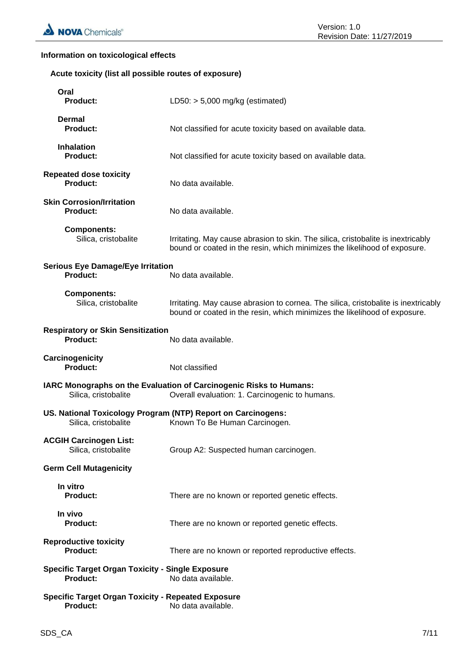### **Information on toxicological effects**

### **Acute toxicity (list all possible routes of exposure)**

| Oral<br><b>Product:</b>                                                                                               | LD50: $> 5,000$ mg/kg (estimated)                                                                                                                               |  |
|-----------------------------------------------------------------------------------------------------------------------|-----------------------------------------------------------------------------------------------------------------------------------------------------------------|--|
| <b>Dermal</b><br><b>Product:</b>                                                                                      | Not classified for acute toxicity based on available data.                                                                                                      |  |
| <b>Inhalation</b><br><b>Product:</b>                                                                                  | Not classified for acute toxicity based on available data.                                                                                                      |  |
| <b>Repeated dose toxicity</b><br><b>Product:</b>                                                                      | No data available.                                                                                                                                              |  |
| <b>Skin Corrosion/Irritation</b><br><b>Product:</b>                                                                   | No data available.                                                                                                                                              |  |
| <b>Components:</b><br>Silica, cristobalite                                                                            | Irritating. May cause abrasion to skin. The silica, cristobalite is inextricably<br>bound or coated in the resin, which minimizes the likelihood of exposure.   |  |
| <b>Serious Eye Damage/Eye Irritation</b><br><b>Product:</b>                                                           | No data available.                                                                                                                                              |  |
| <b>Components:</b><br>Silica, cristobalite                                                                            | Irritating. May cause abrasion to cornea. The silica, cristobalite is inextricably<br>bound or coated in the resin, which minimizes the likelihood of exposure. |  |
| <b>Respiratory or Skin Sensitization</b><br>Product:                                                                  | No data available.                                                                                                                                              |  |
| Carcinogenicity<br><b>Product:</b>                                                                                    | Not classified                                                                                                                                                  |  |
| Silica, cristobalite                                                                                                  | <b>IARC Monographs on the Evaluation of Carcinogenic Risks to Humans:</b><br>Overall evaluation: 1. Carcinogenic to humans.                                     |  |
| US. National Toxicology Program (NTP) Report on Carcinogens:<br>Silica, cristobalite<br>Known To Be Human Carcinogen. |                                                                                                                                                                 |  |
| <b>ACGIH Carcinogen List:</b><br>Silica, cristobalite                                                                 | Group A2: Suspected human carcinogen.                                                                                                                           |  |
| <b>Germ Cell Mutagenicity</b>                                                                                         |                                                                                                                                                                 |  |
| In vitro<br><b>Product:</b>                                                                                           | There are no known or reported genetic effects.                                                                                                                 |  |
| In vivo<br><b>Product:</b>                                                                                            | There are no known or reported genetic effects.                                                                                                                 |  |
| <b>Reproductive toxicity</b><br><b>Product:</b>                                                                       | There are no known or reported reproductive effects.                                                                                                            |  |
| <b>Specific Target Organ Toxicity - Single Exposure</b><br><b>Product:</b><br>No data available.                      |                                                                                                                                                                 |  |
| <b>Specific Target Organ Toxicity - Repeated Exposure</b><br><b>Product:</b>                                          | No data available.                                                                                                                                              |  |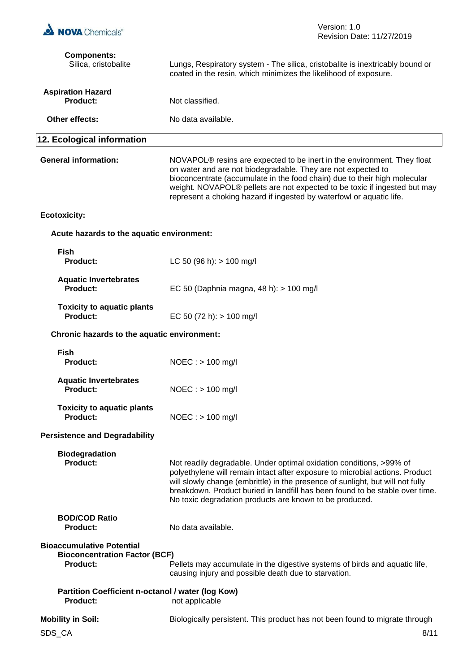| <b>NOVA</b> Chemicals®                                                                      | Version: 1.0<br>Revision Date: 11/27/2019                                                                                                                                                                                                                                                                                                                                             |
|---------------------------------------------------------------------------------------------|---------------------------------------------------------------------------------------------------------------------------------------------------------------------------------------------------------------------------------------------------------------------------------------------------------------------------------------------------------------------------------------|
| <b>Components:</b><br>Silica, cristobalite                                                  | Lungs, Respiratory system - The silica, cristobalite is inextricably bound or<br>coated in the resin, which minimizes the likelihood of exposure.                                                                                                                                                                                                                                     |
| <b>Aspiration Hazard</b><br><b>Product:</b>                                                 | Not classified.                                                                                                                                                                                                                                                                                                                                                                       |
| Other effects:                                                                              | No data available.                                                                                                                                                                                                                                                                                                                                                                    |
| 12. Ecological information                                                                  |                                                                                                                                                                                                                                                                                                                                                                                       |
| <b>General information:</b>                                                                 | NOVAPOL <sup>®</sup> resins are expected to be inert in the environment. They float<br>on water and are not biodegradable. They are not expected to<br>bioconcentrate (accumulate in the food chain) due to their high molecular<br>weight. NOVAPOL® pellets are not expected to be toxic if ingested but may<br>represent a choking hazard if ingested by waterfowl or aquatic life. |
| <b>Ecotoxicity:</b>                                                                         |                                                                                                                                                                                                                                                                                                                                                                                       |
| Acute hazards to the aquatic environment:                                                   |                                                                                                                                                                                                                                                                                                                                                                                       |
| <b>Fish</b><br><b>Product:</b>                                                              | LC 50 (96 h): $> 100$ mg/l                                                                                                                                                                                                                                                                                                                                                            |
| <b>Aquatic Invertebrates</b><br>Product:                                                    | EC 50 (Daphnia magna, 48 h): > 100 mg/l                                                                                                                                                                                                                                                                                                                                               |
| <b>Toxicity to aquatic plants</b><br><b>Product:</b>                                        | EC 50 (72 h): $> 100$ mg/l                                                                                                                                                                                                                                                                                                                                                            |
| Chronic hazards to the aquatic environment:                                                 |                                                                                                                                                                                                                                                                                                                                                                                       |
| <b>Fish</b><br><b>Product:</b>                                                              | $NOEC : > 100$ mg/l                                                                                                                                                                                                                                                                                                                                                                   |
| <b>Aquatic Invertebrates</b><br><b>Product:</b>                                             | $NOEC : > 100$ mg/l                                                                                                                                                                                                                                                                                                                                                                   |
| <b>Toxicity to aquatic plants</b><br><b>Product:</b>                                        | $NOEC :$ > 100 mg/l                                                                                                                                                                                                                                                                                                                                                                   |
| <b>Persistence and Degradability</b>                                                        |                                                                                                                                                                                                                                                                                                                                                                                       |
| <b>Biodegradation</b><br>Product:                                                           | Not readily degradable. Under optimal oxidation conditions, >99% of<br>polyethylene will remain intact after exposure to microbial actions. Product<br>will slowly change (embrittle) in the presence of sunlight, but will not fully<br>breakdown. Product buried in landfill has been found to be stable over time.<br>No toxic degradation products are known to be produced.      |
| <b>BOD/COD Ratio</b><br><b>Product:</b>                                                     | No data available.                                                                                                                                                                                                                                                                                                                                                                    |
| <b>Bioaccumulative Potential</b><br><b>Bioconcentration Factor (BCF)</b><br><b>Product:</b> | Pellets may accumulate in the digestive systems of birds and aquatic life,<br>causing injury and possible death due to starvation.                                                                                                                                                                                                                                                    |
| Partition Coefficient n-octanol / water (log Kow)<br><b>Product:</b>                        | not applicable                                                                                                                                                                                                                                                                                                                                                                        |
| <b>Mobility in Soil:</b><br>SDS_CA                                                          | Biologically persistent. This product has not been found to migrate through<br>8/11                                                                                                                                                                                                                                                                                                   |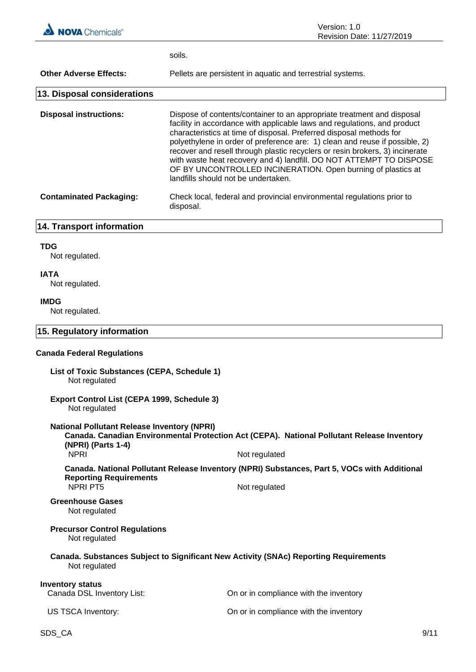

soils.

| <b>Other Adverse Effects:</b>                                                           | Pellets are persistent in aquatic and terrestrial systems.                                                                                                                                                                                                                                                                                                                                                                                                                                                                                                             |
|-----------------------------------------------------------------------------------------|------------------------------------------------------------------------------------------------------------------------------------------------------------------------------------------------------------------------------------------------------------------------------------------------------------------------------------------------------------------------------------------------------------------------------------------------------------------------------------------------------------------------------------------------------------------------|
| 13. Disposal considerations                                                             |                                                                                                                                                                                                                                                                                                                                                                                                                                                                                                                                                                        |
| <b>Disposal instructions:</b>                                                           | Dispose of contents/container to an appropriate treatment and disposal<br>facility in accordance with applicable laws and regulations, and product<br>characteristics at time of disposal. Preferred disposal methods for<br>polyethylene in order of preference are: 1) clean and reuse if possible, 2)<br>recover and resell through plastic recyclers or resin brokers, 3) incinerate<br>with waste heat recovery and 4) landfill. DO NOT ATTEMPT TO DISPOSE<br>OF BY UNCONTROLLED INCINERATION. Open burning of plastics at<br>landfills should not be undertaken. |
| <b>Contaminated Packaging:</b>                                                          | Check local, federal and provincial environmental regulations prior to<br>disposal.                                                                                                                                                                                                                                                                                                                                                                                                                                                                                    |
| <b>14. Transport information</b>                                                        |                                                                                                                                                                                                                                                                                                                                                                                                                                                                                                                                                                        |
| <b>TDG</b><br>Not regulated.                                                            |                                                                                                                                                                                                                                                                                                                                                                                                                                                                                                                                                                        |
| <b>IATA</b><br>Not regulated.                                                           |                                                                                                                                                                                                                                                                                                                                                                                                                                                                                                                                                                        |
| <b>IMDG</b><br>Not regulated.                                                           |                                                                                                                                                                                                                                                                                                                                                                                                                                                                                                                                                                        |
| 15. Regulatory information                                                              |                                                                                                                                                                                                                                                                                                                                                                                                                                                                                                                                                                        |
| <b>Canada Federal Regulations</b>                                                       |                                                                                                                                                                                                                                                                                                                                                                                                                                                                                                                                                                        |
| List of Toxic Substances (CEPA, Schedule 1)<br>Not regulated                            |                                                                                                                                                                                                                                                                                                                                                                                                                                                                                                                                                                        |
| <b>Export Control List (CEPA 1999, Schedule 3)</b><br>Not regulated                     |                                                                                                                                                                                                                                                                                                                                                                                                                                                                                                                                                                        |
| <b>National Pollutant Release Inventory (NPRI)</b><br>(NPRI) (Parts 1-4)<br><b>NPRI</b> | Canada. Canadian Environmental Protection Act (CEPA). National Pollutant Release Inventory<br>Not regulated                                                                                                                                                                                                                                                                                                                                                                                                                                                            |
|                                                                                         | Canada. National Pollutant Release Inventory (NPRI) Substances, Part 5, VOCs with Additional                                                                                                                                                                                                                                                                                                                                                                                                                                                                           |
| <b>Reporting Requirements</b><br>NPRI PT5                                               | Not regulated                                                                                                                                                                                                                                                                                                                                                                                                                                                                                                                                                          |
| <b>Greenhouse Gases</b><br>Not regulated                                                |                                                                                                                                                                                                                                                                                                                                                                                                                                                                                                                                                                        |
| <b>Precursor Control Regulations</b><br>Not regulated                                   |                                                                                                                                                                                                                                                                                                                                                                                                                                                                                                                                                                        |
| Not regulated                                                                           | <b>Canada. Substances Subject to Significant New Activity (SNAc) Reporting Requirements</b>                                                                                                                                                                                                                                                                                                                                                                                                                                                                            |
| <b>Inventory status</b><br>Canada DSL Inventory List:                                   | On or in compliance with the inventory                                                                                                                                                                                                                                                                                                                                                                                                                                                                                                                                 |
| US TSCA Inventory:                                                                      | On or in compliance with the inventory                                                                                                                                                                                                                                                                                                                                                                                                                                                                                                                                 |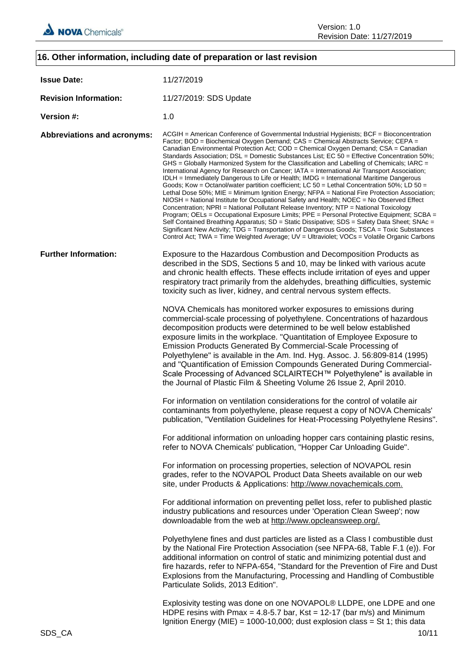

### **Issue Date:** 11/27/2019 **Revision Information:** 11/27/2019: SDS Update **Version #:** 1.0 **Abbreviations and acronyms:** ACGIH = American Conference of Governmental Industrial Hygienists; BCF = Bioconcentration Factor; BOD = Biochemical Oxygen Demand; CAS = Chemical Abstracts Service; CEPA = Canadian Environmental Protection Act; COD = Chemical Oxygen Demand; CSA = Canadian Standards Association; DSL = Domestic Substances List; EC 50 = Effective Concentration 50%; GHS = Globally Harmonized System for the Classification and Labelling of Chemicals; IARC = International Agency for Research on Cancer; IATA = International Air Transport Association; IDLH = Immediately Dangerous to Life or Health; IMDG = International Maritime Dangerous Goods; Kow = Octanol/water partition coefficient; LC 50 = Lethal Concentration 50%; LD 50 = Lethal Dose 50%; MIE = Minimum Ignition Energy; NFPA = National Fire Protection Association; NIOSH = National Institute for Occupational Safety and Health; NOEC = No Observed Effect Concentration; NPRI = National Pollutant Release Inventory; NTP = National Toxicology Program; OELs = Occupational Exposure Limits; PPE = Personal Protective Equipment; SCBA = Self Contained Breathing Apparatus; SD = Static Dissipative; SDS = Safety Data Sheet; SNAc = Significant New Activity; TDG = Transportation of Dangerous Goods; TSCA = Toxic Substances Control Act; TWA = Time Weighted Average; UV = Ultraviolet; VOCs = Volatile Organic Carbons **Further Information:** Exposure to the Hazardous Combustion and Decomposition Products as described in the SDS, Sections 5 and 10, may be linked with various acute and chronic health effects. These effects include irritation of eyes and upper respiratory tract primarily from the aldehydes, breathing difficulties, systemic toxicity such as liver, kidney, and central nervous system effects. NOVA Chemicals has monitored worker exposures to emissions during commercial-scale processing of polyethylene. Concentrations of hazardous decomposition products were determined to be well below established exposure limits in the workplace. "Quantitation of Employee Exposure to Emission Products Generated By Commercial-Scale Processing of Polyethylene" is available in the Am. Ind. Hyg. Assoc. J. 56:809-814 (1995) and "Quantification of Emission Compounds Generated During Commercial-Scale Processing of Advanced SCLAIRTECH™ Polyethylene" is available in the Journal of Plastic Film & Sheeting Volume 26 Issue 2, April 2010. For information on ventilation considerations for the control of volatile air contaminants from polyethylene, please request a copy of NOVA Chemicals' publication, "Ventilation Guidelines for Heat-Processing Polyethylene Resins". For additional information on unloading hopper cars containing plastic resins, refer to NOVA Chemicals' publication, "Hopper Car Unloading Guide". For information on processing properties, selection of NOVAPOL resin grades, refer to the NOVAPOL Product Data Sheets available on our web site, under Products & Applications: http://www.novachemicals.com. For additional information on preventing pellet loss, refer to published plastic industry publications and resources under 'Operation Clean Sweep'; now downloadable from the web at http://www.opcleansweep.org/. Polyethylene fines and dust particles are listed as a Class I combustible dust by the National Fire Protection Association (see NFPA-68, Table F.1 (e)). For additional information on control of static and minimizing potential dust and fire hazards, refer to NFPA-654, "Standard for the Prevention of Fire and Dust Explosions from the Manufacturing, Processing and Handling of Combustible Particulate Solids, 2013 Edition". Explosivity testing was done on one NOVAPOL® LLDPE, one LDPE and one HDPE resins with Pmax = 4.8-5.7 bar, Kst = 12-17 (bar m/s) and Minimum Ignition Energy (MIE) = 1000-10,000; dust explosion class = St 1; this data

#### **16. Other information, including date of preparation or last revision**